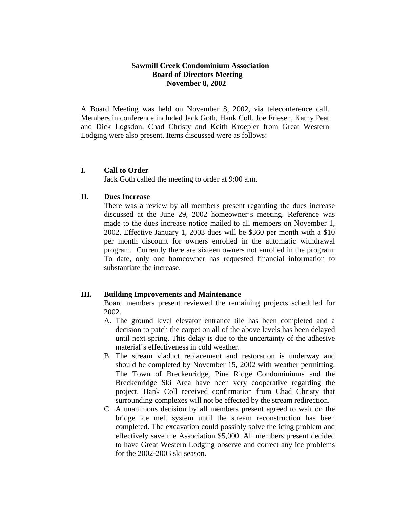## **Sawmill Creek Condominium Association Board of Directors Meeting November 8, 2002**

A Board Meeting was held on November 8, 2002, via teleconference call. Members in conference included Jack Goth, Hank Coll, Joe Friesen, Kathy Peat and Dick Logsdon. Chad Christy and Keith Kroepler from Great Western Lodging were also present. Items discussed were as follows:

## **I. Call to Order**

Jack Goth called the meeting to order at 9:00 a.m.

### **II. Dues Increase**

There was a review by all members present regarding the dues increase discussed at the June 29, 2002 homeowner's meeting. Reference was made to the dues increase notice mailed to all members on November 1, 2002. Effective January 1, 2003 dues will be \$360 per month with a \$10 per month discount for owners enrolled in the automatic withdrawal program. Currently there are sixteen owners not enrolled in the program. To date, only one homeowner has requested financial information to substantiate the increase.

# **III. Building Improvements and Maintenance**

Board members present reviewed the remaining projects scheduled for 2002.

- A. The ground level elevator entrance tile has been completed and a decision to patch the carpet on all of the above levels has been delayed until next spring. This delay is due to the uncertainty of the adhesive material's effectiveness in cold weather.
- B. The stream viaduct replacement and restoration is underway and should be completed by November 15, 2002 with weather permitting. The Town of Breckenridge, Pine Ridge Condominiums and the Breckenridge Ski Area have been very cooperative regarding the project. Hank Coll received confirmation from Chad Christy that surrounding complexes will not be effected by the stream redirection.
- C. A unanimous decision by all members present agreed to wait on the bridge ice melt system until the stream reconstruction has been completed. The excavation could possibly solve the icing problem and effectively save the Association \$5,000. All members present decided to have Great Western Lodging observe and correct any ice problems for the 2002-2003 ski season.